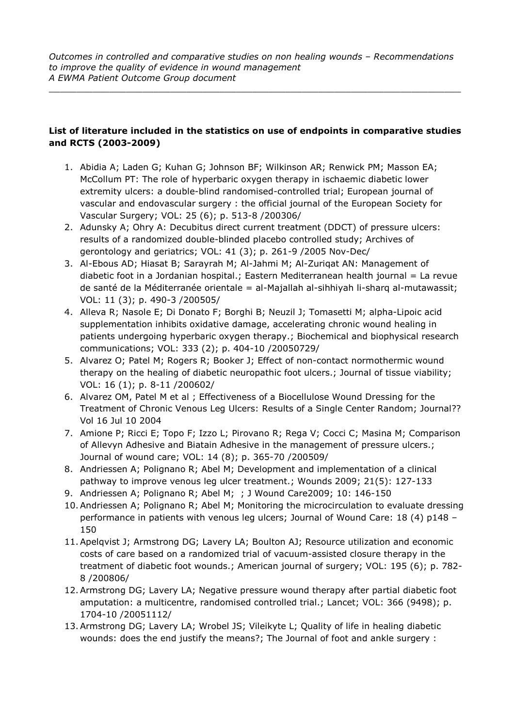## **List of literature included in the statistics on use of endpoints in comparative studies and RCTS (2003-2009)**

- 1. Abidia A; Laden G; Kuhan G; Johnson BF; Wilkinson AR; Renwick PM; Masson EA; McCollum PT: The role of hyperbaric oxygen therapy in ischaemic diabetic lower extremity ulcers: a double-blind randomised-controlled trial; European journal of vascular and endovascular surgery : the official journal of the European Society for Vascular Surgery; VOL: 25 (6); p. 513-8 /200306/
- 2. Adunsky A; Ohry A: Decubitus direct current treatment (DDCT) of pressure ulcers: results of a randomized double-blinded placebo controlled study; Archives of gerontology and geriatrics; VOL: 41 (3); p. 261-9 /2005 Nov-Dec/
- 3. Al-Ebous AD; Hiasat B; Sarayrah M; Al-Jahmi M; Al-Zuriqat AN: Management of diabetic foot in a Jordanian hospital.; Eastern Mediterranean health journal = La revue de santé de la Méditerranée orientale = al-Majallah al-sihhiyah li-sharq al-mutawassit; VOL: 11 (3); p. 490-3 /200505/
- 4. Alleva R; Nasole E; Di Donato F; Borghi B; Neuzil J; Tomasetti M; alpha-Lipoic acid supplementation inhibits oxidative damage, accelerating chronic wound healing in patients undergoing hyperbaric oxygen therapy.; Biochemical and biophysical research communications; VOL: 333 (2); p. 404-10 /20050729/
- 5. Alvarez O; Patel M; Rogers R; Booker J; Effect of non-contact normothermic wound therapy on the healing of diabetic neuropathic foot ulcers.; Journal of tissue viability; VOL: 16 (1); p. 8-11 /200602/
- 6. Alvarez OM, Patel M et al ; Effectiveness of a Biocellulose Wound Dressing for the Treatment of Chronic Venous Leg Ulcers: Results of a Single Center Random; Journal?? Vol 16 Jul 10 2004
- 7. Amione P; Ricci E; Topo F; Izzo L; Pirovano R; Rega V; Cocci C; Masina M; Comparison of Allevyn Adhesive and Biatain Adhesive in the management of pressure ulcers.; Journal of wound care; VOL: 14 (8); p. 365-70 /200509/
- 8. Andriessen A; Polignano R; Abel M; Development and implementation of a clinical pathway to improve venous leg ulcer treatment.; Wounds 2009; 21(5): 127-133
- 9. Andriessen A; Polignano R; Abel M; ; J Wound Care2009; 10: 146-150
- 10.Andriessen A; Polignano R; Abel M; Monitoring the microcirculation to evaluate dressing performance in patients with venous leg ulcers; Journal of Wound Care: 18 (4) p148 – 150
- 11.Apelqvist J; Armstrong DG; Lavery LA; Boulton AJ; Resource utilization and economic costs of care based on a randomized trial of vacuum-assisted closure therapy in the treatment of diabetic foot wounds.; American journal of surgery; VOL: 195 (6); p. 782- 8 /200806/
- 12.Armstrong DG; Lavery LA; Negative pressure wound therapy after partial diabetic foot amputation: a multicentre, randomised controlled trial.; Lancet; VOL: 366 (9498); p. 1704-10 /20051112/
- 13.Armstrong DG; Lavery LA; Wrobel JS; Vileikyte L; Quality of life in healing diabetic wounds: does the end justify the means?; The Journal of foot and ankle surgery :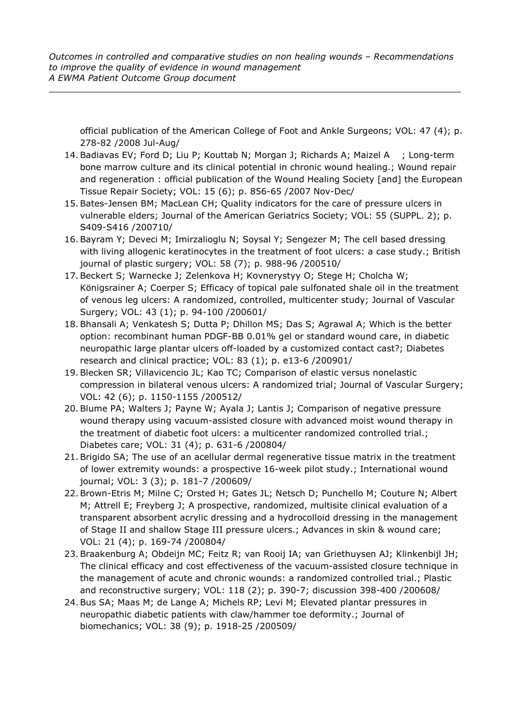$\_$  ,  $\_$  ,  $\_$  ,  $\_$  ,  $\_$  ,  $\_$  ,  $\_$  ,  $\_$  ,  $\_$  ,  $\_$  ,  $\_$  ,  $\_$  ,  $\_$  ,  $\_$  ,  $\_$  ,  $\_$  ,  $\_$  ,  $\_$  ,  $\_$  ,  $\_$ 

official publication of the American College of Foot and Ankle Surgeons; VOL: 47 (4); p. 278-82 /2008 Jul-Aug/

- 14.Badiavas EV; Ford D; Liu P; Kouttab N; Morgan J; Richards A; Maizel A ; Long-term bone marrow culture and its clinical potential in chronic wound healing.; Wound repair and regeneration : official publication of the Wound Healing Society [and] the European Tissue Repair Society; VOL: 15 (6); p. 856-65 /2007 Nov-Dec/
- 15.Bates-Jensen BM; MacLean CH; Quality indicators for the care of pressure ulcers in vulnerable elders; Journal of the American Geriatrics Society; VOL: 55 (SUPPL. 2); p. S409-S416 /200710/
- 16.Bayram Y; Deveci M; Imirzalioglu N; Soysal Y; Sengezer M; The cell based dressing with living allogenic keratinocytes in the treatment of foot ulcers: a case study.; British journal of plastic surgery; VOL: 58 (7); p. 988-96 /200510/
- 17.Beckert S; Warnecke J; Zelenkova H; Kovnerystyy O; Stege H; Cholcha W; Königsrainer A; Coerper S; Efficacy of topical pale sulfonated shale oil in the treatment of venous leg ulcers: A randomized, controlled, multicenter study; Journal of Vascular Surgery; VOL: 43 (1); p. 94-100 /200601/
- 18.Bhansali A; Venkatesh S; Dutta P; Dhillon MS; Das S; Agrawal A; Which is the better option: recombinant human PDGF-BB 0.01% gel or standard wound care, in diabetic neuropathic large plantar ulcers off-loaded by a customized contact cast?; Diabetes research and clinical practice; VOL: 83 (1); p. e13-6 /200901/
- 19.Blecken SR; Villavicencio JL; Kao TC; Comparison of elastic versus nonelastic compression in bilateral venous ulcers: A randomized trial; Journal of Vascular Surgery; VOL: 42 (6); p. 1150-1155 /200512/
- 20.Blume PA; Walters J; Payne W; Ayala J; Lantis J; Comparison of negative pressure wound therapy using vacuum-assisted closure with advanced moist wound therapy in the treatment of diabetic foot ulcers: a multicenter randomized controlled trial.; Diabetes care; VOL: 31 (4); p. 631-6 /200804/
- 21.Brigido SA; The use of an acellular dermal regenerative tissue matrix in the treatment of lower extremity wounds: a prospective 16-week pilot study.; International wound journal; VOL: 3 (3); p. 181-7 /200609/
- 22.Brown-Etris M; Milne C; Orsted H; Gates JL; Netsch D; Punchello M; Couture N; Albert M; Attrell E; Freyberg J; A prospective, randomized, multisite clinical evaluation of a transparent absorbent acrylic dressing and a hydrocolloid dressing in the management of Stage II and shallow Stage III pressure ulcers.; Advances in skin & wound care; VOL: 21 (4); p. 169-74 /200804/
- 23.Braakenburg A; Obdeijn MC; Feitz R; van Rooij IA; van Griethuysen AJ; Klinkenbijl JH; The clinical efficacy and cost effectiveness of the vacuum-assisted closure technique in the management of acute and chronic wounds: a randomized controlled trial.; Plastic and reconstructive surgery; VOL: 118 (2); p. 390-7; discussion 398-400 /200608/
- 24.Bus SA; Maas M; de Lange A; Michels RP; Levi M; Elevated plantar pressures in neuropathic diabetic patients with claw/hammer toe deformity.; Journal of biomechanics; VOL: 38 (9); p. 1918-25 /200509/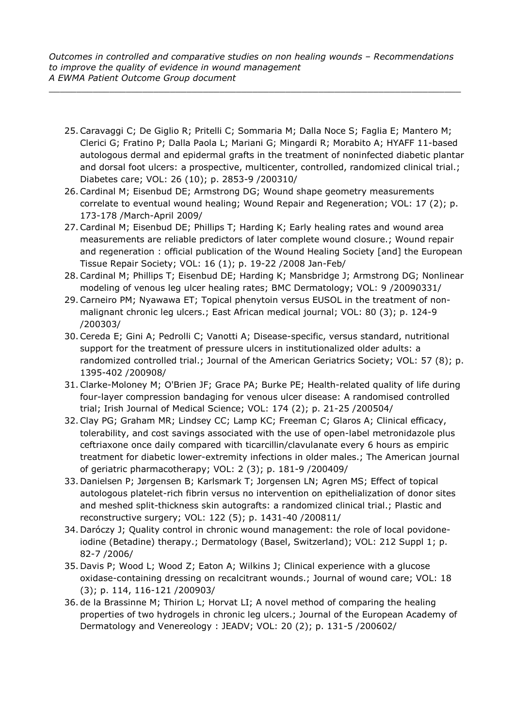- 25.Caravaggi C; De Giglio R; Pritelli C; Sommaria M; Dalla Noce S; Faglia E; Mantero M; Clerici G; Fratino P; Dalla Paola L; Mariani G; Mingardi R; Morabito A; HYAFF 11-based autologous dermal and epidermal grafts in the treatment of noninfected diabetic plantar and dorsal foot ulcers: a prospective, multicenter, controlled, randomized clinical trial.; Diabetes care; VOL: 26 (10); p. 2853-9 /200310/
- 26.Cardinal M; Eisenbud DE; Armstrong DG; Wound shape geometry measurements correlate to eventual wound healing; Wound Repair and Regeneration; VOL: 17 (2); p. 173-178 /March-April 2009/
- 27.Cardinal M; Eisenbud DE; Phillips T; Harding K; Early healing rates and wound area measurements are reliable predictors of later complete wound closure.; Wound repair and regeneration : official publication of the Wound Healing Society [and] the European Tissue Repair Society; VOL: 16 (1); p. 19-22 /2008 Jan-Feb/
- 28.Cardinal M; Phillips T; Eisenbud DE; Harding K; Mansbridge J; Armstrong DG; Nonlinear modeling of venous leg ulcer healing rates; BMC Dermatology; VOL: 9 /20090331/
- 29.Carneiro PM; Nyawawa ET; Topical phenytoin versus EUSOL in the treatment of nonmalignant chronic leg ulcers.; East African medical journal; VOL: 80 (3); p. 124-9 /200303/
- 30.Cereda E; Gini A; Pedrolli C; Vanotti A; Disease-specific, versus standard, nutritional support for the treatment of pressure ulcers in institutionalized older adults: a randomized controlled trial.; Journal of the American Geriatrics Society; VOL: 57 (8); p. 1395-402 /200908/
- 31.Clarke-Moloney M; O'Brien JF; Grace PA; Burke PE; Health-related quality of life during four-layer compression bandaging for venous ulcer disease: A randomised controlled trial; Irish Journal of Medical Science; VOL: 174 (2); p. 21-25 /200504/
- 32.Clay PG; Graham MR; Lindsey CC; Lamp KC; Freeman C; Glaros A; Clinical efficacy, tolerability, and cost savings associated with the use of open-label metronidazole plus ceftriaxone once daily compared with ticarcillin/clavulanate every 6 hours as empiric treatment for diabetic lower-extremity infections in older males.; The American journal of geriatric pharmacotherapy; VOL: 2 (3); p. 181-9 /200409/
- 33. Danielsen P; Jørgensen B; Karlsmark T; Jorgensen LN; Agren MS; Effect of topical autologous platelet-rich fibrin versus no intervention on epithelialization of donor sites and meshed split-thickness skin autografts: a randomized clinical trial.; Plastic and reconstructive surgery; VOL: 122 (5); p. 1431-40 /200811/
- 34. Daróczy J; Quality control in chronic wound management: the role of local povidoneiodine (Betadine) therapy.; Dermatology (Basel, Switzerland); VOL: 212 Suppl 1; p. 82-7 /2006/
- 35. Davis P; Wood L; Wood Z; Eaton A; Wilkins J; Clinical experience with a glucose oxidase-containing dressing on recalcitrant wounds.; Journal of wound care; VOL: 18 (3); p. 114, 116-121 /200903/
- 36. de la Brassinne M; Thirion L; Horvat LI; A novel method of comparing the healing properties of two hydrogels in chronic leg ulcers.; Journal of the European Academy of Dermatology and Venereology : JEADV; VOL: 20 (2); p. 131-5 /200602/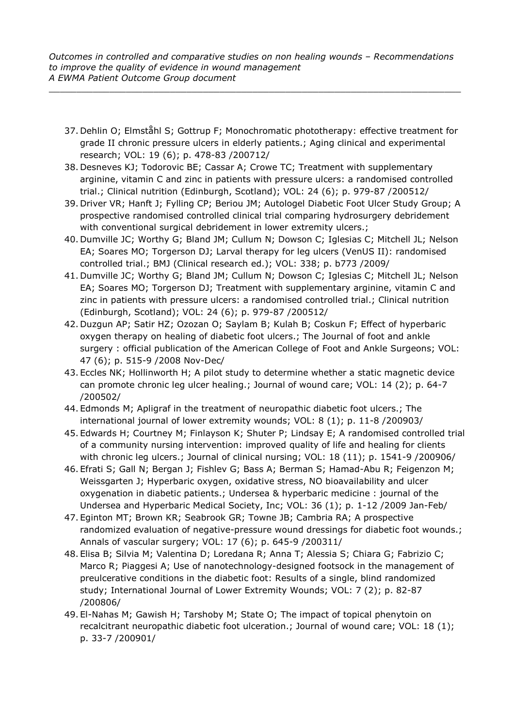- 37. Dehlin O; Elmståhl S; Gottrup F; Monochromatic phototherapy: effective treatment for grade II chronic pressure ulcers in elderly patients.; Aging clinical and experimental research; VOL: 19 (6); p. 478-83 /200712/
- 38. Desneves KJ; Todorovic BE; Cassar A; Crowe TC; Treatment with supplementary arginine, vitamin C and zinc in patients with pressure ulcers: a randomised controlled trial.; Clinical nutrition (Edinburgh, Scotland); VOL: 24 (6); p. 979-87 /200512/
- 39. Driver VR; Hanft J; Fylling CP; Beriou JM; Autologel Diabetic Foot Ulcer Study Group; A prospective randomised controlled clinical trial comparing hydrosurgery debridement with conventional surgical debridement in lower extremity ulcers.;
- 40. Dumville JC; Worthy G; Bland JM; Cullum N; Dowson C; Iglesias C; Mitchell JL; Nelson EA; Soares MO; Torgerson DJ; Larval therapy for leg ulcers (VenUS II): randomised controlled trial.; BMJ (Clinical research ed.); VOL: 338; p. b773 /2009/
- 41. Dumville JC; Worthy G; Bland JM; Cullum N; Dowson C; Iglesias C; Mitchell JL; Nelson EA; Soares MO; Torgerson DJ; Treatment with supplementary arginine, vitamin C and zinc in patients with pressure ulcers: a randomised controlled trial.; Clinical nutrition (Edinburgh, Scotland); VOL: 24 (6); p. 979-87 /200512/
- 42. Duzgun AP; Satir HZ; Ozozan O; Saylam B; Kulah B; Coskun F; Effect of hyperbaric oxygen therapy on healing of diabetic foot ulcers.; The Journal of foot and ankle surgery : official publication of the American College of Foot and Ankle Surgeons; VOL: 47 (6); p. 515-9 /2008 Nov-Dec/
- 43. Eccles NK; Hollinworth H; A pilot study to determine whether a static magnetic device can promote chronic leg ulcer healing.; Journal of wound care; VOL: 14 (2); p. 64-7 /200502/
- 44. Edmonds M; Apligraf in the treatment of neuropathic diabetic foot ulcers.; The international journal of lower extremity wounds; VOL: 8 (1); p. 11-8 /200903/
- 45. Edwards H; Courtney M; Finlayson K; Shuter P; Lindsay E; A randomised controlled trial of a community nursing intervention: improved quality of life and healing for clients with chronic leg ulcers.; Journal of clinical nursing; VOL: 18 (11); p. 1541-9 /200906/
- 46. Efrati S; Gall N; Bergan J; Fishlev G; Bass A; Berman S; Hamad-Abu R; Feigenzon M; Weissgarten J; Hyperbaric oxygen, oxidative stress, NO bioavailability and ulcer oxygenation in diabetic patients.; Undersea & hyperbaric medicine : journal of the Undersea and Hyperbaric Medical Society, Inc; VOL: 36 (1); p. 1-12 /2009 Jan-Feb/
- 47. Eginton MT; Brown KR; Seabrook GR; Towne JB; Cambria RA; A prospective randomized evaluation of negative-pressure wound dressings for diabetic foot wounds.; Annals of vascular surgery; VOL: 17 (6); p. 645-9 /200311/
- 48. Elisa B; Silvia M; Valentina D; Loredana R; Anna T; Alessia S; Chiara G; Fabrizio C; Marco R; Piaggesi A; Use of nanotechnology-designed footsock in the management of preulcerative conditions in the diabetic foot: Results of a single, blind randomized study; International Journal of Lower Extremity Wounds; VOL: 7 (2); p. 82-87 /200806/
- 49. El-Nahas M; Gawish H; Tarshoby M; State O; The impact of topical phenytoin on recalcitrant neuropathic diabetic foot ulceration.; Journal of wound care; VOL: 18 (1); p. 33-7 /200901/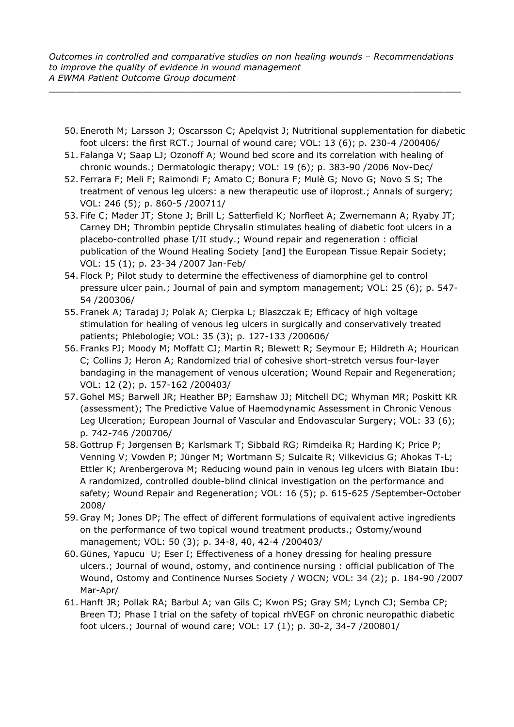- 50. Eneroth M; Larsson J; Oscarsson C; Apelqvist J; Nutritional supplementation for diabetic foot ulcers: the first RCT.; Journal of wound care; VOL: 13 (6); p. 230-4 /200406/
- 51. Falanga V; Saap LJ; Ozonoff A; Wound bed score and its correlation with healing of chronic wounds.; Dermatologic therapy; VOL: 19 (6); p. 383-90 /2006 Nov-Dec/
- 52. Ferrara F; Meli F; Raimondi F; Amato C; Bonura F; Mulè G; Novo G; Novo S S; The treatment of venous leg ulcers: a new therapeutic use of iloprost.; Annals of surgery; VOL: 246 (5); p. 860-5 /200711/
- 53. Fife C; Mader JT; Stone J; Brill L; Satterfield K; Norfleet A; Zwernemann A; Ryaby JT; Carney DH; Thrombin peptide Chrysalin stimulates healing of diabetic foot ulcers in a placebo-controlled phase I/II study.; Wound repair and regeneration : official publication of the Wound Healing Society [and] the European Tissue Repair Society; VOL: 15 (1); p. 23-34 /2007 Jan-Feb/
- 54. Flock P; Pilot study to determine the effectiveness of diamorphine gel to control pressure ulcer pain.; Journal of pain and symptom management; VOL: 25 (6); p. 547- 54 /200306/
- 55. Franek A; Taradaj J; Polak A; Cierpka L; Blaszczak E; Efficacy of high voltage stimulation for healing of venous leg ulcers in surgically and conservatively treated patients; Phlebologie; VOL: 35 (3); p. 127-133 /200606/
- 56. Franks PJ; Moody M; Moffatt CJ; Martin R; Blewett R; Seymour E; Hildreth A; Hourican C; Collins J; Heron A; Randomized trial of cohesive short-stretch versus four-layer bandaging in the management of venous ulceration; Wound Repair and Regeneration; VOL: 12 (2); p. 157-162 /200403/
- 57. Gohel MS; Barwell JR; Heather BP; Earnshaw JJ; Mitchell DC; Whyman MR; Poskitt KR (assessment); The Predictive Value of Haemodynamic Assessment in Chronic Venous Leg Ulceration; European Journal of Vascular and Endovascular Surgery; VOL: 33 (6); p. 742-746 /200706/
- 58. Gottrup F; Jørgensen B; Karlsmark T; Sibbald RG; Rimdeika R; Harding K; Price P; Venning V; Vowden P; Jünger M; Wortmann S; Sulcaite R; Vilkevicius G; Ahokas T-L; Ettler K; Arenbergerova M; Reducing wound pain in venous leg ulcers with Biatain Ibu: A randomized, controlled double-blind clinical investigation on the performance and safety; Wound Repair and Regeneration; VOL: 16 (5); p. 615-625 /September-October 2008/
- 59. Gray M; Jones DP; The effect of different formulations of equivalent active ingredients on the performance of two topical wound treatment products.; Ostomy/wound management; VOL: 50 (3); p. 34-8, 40, 42-4 /200403/
- 60. Günes, Yapucu U; Eser I; Effectiveness of a honey dressing for healing pressure ulcers.; Journal of wound, ostomy, and continence nursing : official publication of The Wound, Ostomy and Continence Nurses Society / WOCN; VOL: 34 (2); p. 184-90 /2007 Mar-Apr/
- 61. Hanft JR; Pollak RA; Barbul A; van Gils C; Kwon PS; Gray SM; Lynch CJ; Semba CP; Breen TJ; Phase I trial on the safety of topical rhVEGF on chronic neuropathic diabetic foot ulcers.; Journal of wound care; VOL: 17 (1); p. 30-2, 34-7 /200801/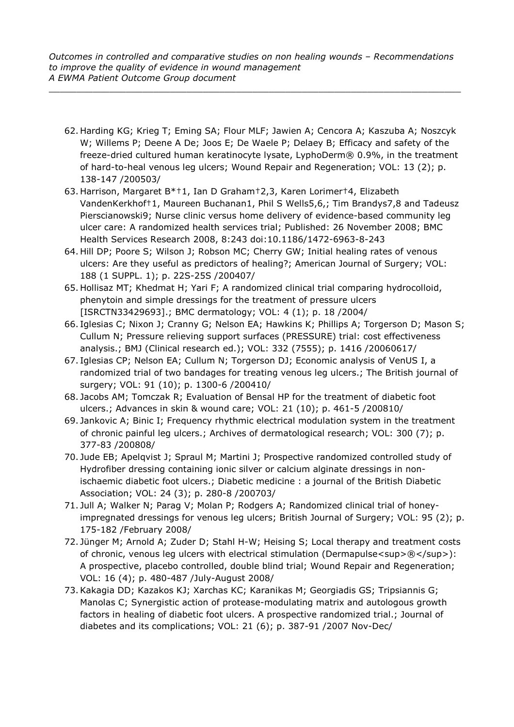- 62. Harding KG; Krieg T; Eming SA; Flour MLF; Jawien A; Cencora A; Kaszuba A; Noszcyk W; Willems P; Deene A De; Joos E; De Waele P; Delaey B; Efficacy and safety of the freeze-dried cultured human keratinocyte lysate, LyphoDerm® 0.9%, in the treatment of hard-to-heal venous leg ulcers; Wound Repair and Regeneration; VOL: 13 (2); p. 138-147 /200503/
- 63. Harrison, Margaret B\*†1, Ian D Graham†2,3, Karen Lorimer†4, Elizabeth VandenKerkhof†1, Maureen Buchanan1, Phil S Wells5,6,; Tim Brandys7,8 and Tadeusz Pierscianowski9; Nurse clinic versus home delivery of evidence-based community leg ulcer care: A randomized health services trial; Published: 26 November 2008; BMC Health Services Research 2008, 8:243 doi:10.1186/1472-6963-8-243
- 64. Hill DP; Poore S; Wilson J; Robson MC; Cherry GW; Initial healing rates of venous ulcers: Are they useful as predictors of healing?; American Journal of Surgery; VOL: 188 (1 SUPPL. 1); p. 22S-25S /200407/
- 65. Hollisaz MT; Khedmat H; Yari F; A randomized clinical trial comparing hydrocolloid, phenytoin and simple dressings for the treatment of pressure ulcers [ISRCTN33429693].; BMC dermatology; VOL: 4 (1); p. 18 /2004/
- 66. Iglesias C; Nixon J; Cranny G; Nelson EA; Hawkins K; Phillips A; Torgerson D; Mason S; Cullum N; Pressure relieving support surfaces (PRESSURE) trial: cost effectiveness analysis.; BMJ (Clinical research ed.); VOL: 332 (7555); p. 1416 /20060617/
- 67. Iglesias CP; Nelson EA; Cullum N; Torgerson DJ; Economic analysis of VenUS I, a randomized trial of two bandages for treating venous leg ulcers.; The British journal of surgery; VOL: 91 (10); p. 1300-6 /200410/
- 68. Jacobs AM; Tomczak R; Evaluation of Bensal HP for the treatment of diabetic foot ulcers.; Advances in skin & wound care; VOL: 21 (10); p. 461-5 /200810/
- 69. Jankovic A; Binic I; Frequency rhythmic electrical modulation system in the treatment of chronic painful leg ulcers.; Archives of dermatological research; VOL: 300 (7); p. 377-83 /200808/
- 70. Jude EB; Apelqvist J; Spraul M; Martini J; Prospective randomized controlled study of Hydrofiber dressing containing ionic silver or calcium alginate dressings in nonischaemic diabetic foot ulcers.; Diabetic medicine : a journal of the British Diabetic Association; VOL: 24 (3); p. 280-8 /200703/
- 71. Jull A; Walker N; Parag V; Molan P; Rodgers A; Randomized clinical trial of honeyimpregnated dressings for venous leg ulcers; British Journal of Surgery; VOL: 95 (2); p. 175-182 /February 2008/
- 72. Jünger M; Arnold A; Zuder D; Stahl H-W; Heising S; Local therapy and treatment costs of chronic, venous leg ulcers with electrical stimulation (Dermapulse<sup>®</sup>): A prospective, placebo controlled, double blind trial; Wound Repair and Regeneration; VOL: 16 (4); p. 480-487 /July-August 2008/
- 73.Kakagia DD; Kazakos KJ; Xarchas KC; Karanikas M; Georgiadis GS; Tripsiannis G; Manolas C; Synergistic action of protease-modulating matrix and autologous growth factors in healing of diabetic foot ulcers. A prospective randomized trial.; Journal of diabetes and its complications; VOL: 21 (6); p. 387-91 /2007 Nov-Dec/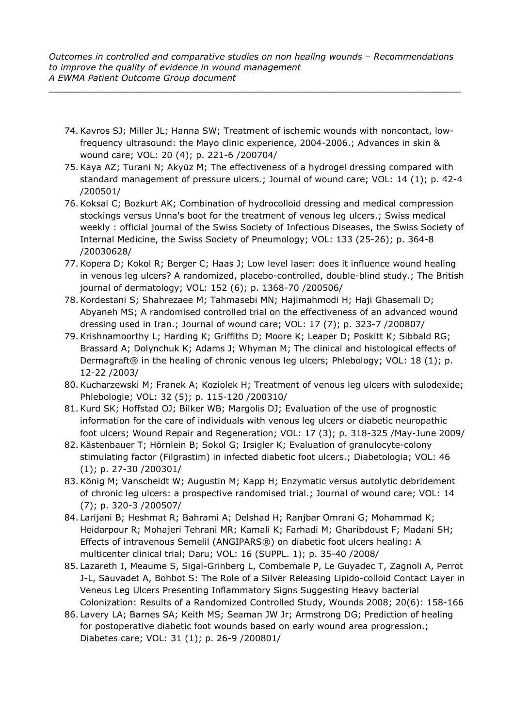- 74.Kavros SJ; Miller JL; Hanna SW; Treatment of ischemic wounds with noncontact, lowfrequency ultrasound: the Mayo clinic experience, 2004-2006.; Advances in skin & wound care; VOL: 20 (4); p. 221-6 /200704/
- 75.Kaya AZ; Turani N; Akyüz M; The effectiveness of a hydrogel dressing compared with standard management of pressure ulcers.; Journal of wound care; VOL: 14 (1); p. 42-4 /200501/
- 76.Koksal C; Bozkurt AK; Combination of hydrocolloid dressing and medical compression stockings versus Unna's boot for the treatment of venous leg ulcers.; Swiss medical weekly : official journal of the Swiss Society of Infectious Diseases, the Swiss Society of Internal Medicine, the Swiss Society of Pneumology; VOL: 133 (25-26); p. 364-8 /20030628/
- 77.Kopera D; Kokol R; Berger C; Haas J; Low level laser: does it influence wound healing in venous leg ulcers? A randomized, placebo-controlled, double-blind study.; The British journal of dermatology; VOL: 152 (6); p. 1368-70 /200506/
- 78.Kordestani S; Shahrezaee M; Tahmasebi MN; Hajimahmodi H; Haji Ghasemali D; Abyaneh MS; A randomised controlled trial on the effectiveness of an advanced wound dressing used in Iran.; Journal of wound care; VOL: 17 (7); p. 323-7 /200807/
- 79.Krishnamoorthy L; Harding K; Griffiths D; Moore K; Leaper D; Poskitt K; Sibbald RG; Brassard A; Dolynchuk K; Adams J; Whyman M; The clinical and histological effects of Dermagraft® in the healing of chronic venous leg ulcers; Phlebology; VOL: 18 (1); p. 12-22 /2003/
- 80.Kucharzewski M; Franek A; Koziolek H; Treatment of venous leg ulcers with sulodexide; Phlebologie; VOL: 32 (5); p. 115-120 /200310/
- 81.Kurd SK; Hoffstad OJ; Bilker WB; Margolis DJ; Evaluation of the use of prognostic information for the care of individuals with venous leg ulcers or diabetic neuropathic foot ulcers; Wound Repair and Regeneration; VOL: 17 (3); p. 318-325 /May-June 2009/
- 82.Kästenbauer T; Hörnlein B; Sokol G; Irsigler K; Evaluation of granulocyte-colony stimulating factor (Filgrastim) in infected diabetic foot ulcers.; Diabetologia; VOL: 46 (1); p. 27-30 /200301/
- 83.König M; Vanscheidt W; Augustin M; Kapp H; Enzymatic versus autolytic debridement of chronic leg ulcers: a prospective randomised trial.; Journal of wound care; VOL: 14 (7); p. 320-3 /200507/
- 84. Larijani B; Heshmat R; Bahrami A; Delshad H; Ranjbar Omrani G; Mohammad K; Heidarpour R; Mohajeri Tehrani MR; Kamali K; Farhadi M; Gharibdoust F; Madani SH; Effects of intravenous Semelil (ANGIPARS®) on diabetic foot ulcers healing: A multicenter clinical trial; Daru; VOL: 16 (SUPPL. 1); p. 35-40 /2008/
- 85. Lazareth I, Meaume S, Sigal-Grinberg L, Combemale P, Le Guyadec T, Zagnoli A, Perrot J-L, Sauvadet A, Bohbot S: The Role of a Silver Releasing Lipido-colloid Contact Layer in Veneus Leg Ulcers Presenting Inflammatory Signs Suggesting Heavy bacterial Colonization: Results of a Randomized Controlled Study, Wounds 2008; 20(6): 158-166
- 86. Lavery LA; Barnes SA; Keith MS; Seaman JW Jr; Armstrong DG; Prediction of healing for postoperative diabetic foot wounds based on early wound area progression.; Diabetes care; VOL: 31 (1); p. 26-9 /200801/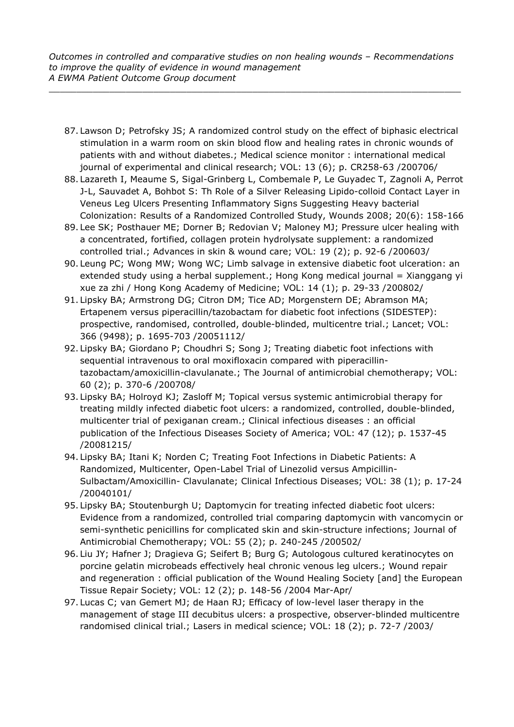- 87. Lawson D; Petrofsky JS; A randomized control study on the effect of biphasic electrical stimulation in a warm room on skin blood flow and healing rates in chronic wounds of patients with and without diabetes.; Medical science monitor : international medical journal of experimental and clinical research; VOL: 13 (6); p. CR258-63 /200706/
- 88. Lazareth I, Meaume S, Sigal-Grinberg L, Combemale P, Le Guyadec T, Zagnoli A, Perrot J-L, Sauvadet A, Bohbot S: Th Role of a Silver Releasing Lipido-colloid Contact Layer in Veneus Leg Ulcers Presenting Inflammatory Signs Suggesting Heavy bacterial Colonization: Results of a Randomized Controlled Study, Wounds 2008; 20(6): 158-166
- 89. Lee SK; Posthauer ME; Dorner B; Redovian V; Maloney MJ; Pressure ulcer healing with a concentrated, fortified, collagen protein hydrolysate supplement: a randomized controlled trial.; Advances in skin & wound care; VOL: 19 (2); p. 92-6 /200603/
- 90. Leung PC; Wong MW; Wong WC; Limb salvage in extensive diabetic foot ulceration: an extended study using a herbal supplement.; Hong Kong medical journal = Xianggang yi xue za zhi / Hong Kong Academy of Medicine; VOL: 14 (1); p. 29-33 /200802/
- 91. Lipsky BA; Armstrong DG; Citron DM; Tice AD; Morgenstern DE; Abramson MA; Ertapenem versus piperacillin/tazobactam for diabetic foot infections (SIDESTEP): prospective, randomised, controlled, double-blinded, multicentre trial.; Lancet; VOL: 366 (9498); p. 1695-703 /20051112/
- 92. Lipsky BA; Giordano P; Choudhri S; Song J; Treating diabetic foot infections with sequential intravenous to oral moxifloxacin compared with piperacillintazobactam/amoxicillin-clavulanate.; The Journal of antimicrobial chemotherapy; VOL: 60 (2); p. 370-6 /200708/
- 93. Lipsky BA; Holroyd KJ; Zasloff M; Topical versus systemic antimicrobial therapy for treating mildly infected diabetic foot ulcers: a randomized, controlled, double-blinded, multicenter trial of pexiganan cream.; Clinical infectious diseases : an official publication of the Infectious Diseases Society of America; VOL: 47 (12); p. 1537-45 /20081215/
- 94. Lipsky BA; Itani K; Norden C; Treating Foot Infections in Diabetic Patients: A Randomized, Multicenter, Open-Label Trial of Linezolid versus Ampicillin-Sulbactam/Amoxicillin- Clavulanate; Clinical Infectious Diseases; VOL: 38 (1); p. 17-24 /20040101/
- 95. Lipsky BA; Stoutenburgh U; Daptomycin for treating infected diabetic foot ulcers: Evidence from a randomized, controlled trial comparing daptomycin with vancomycin or semi-synthetic penicillins for complicated skin and skin-structure infections; Journal of Antimicrobial Chemotherapy; VOL: 55 (2); p. 240-245 /200502/
- 96. Liu JY; Hafner J; Dragieva G; Seifert B; Burg G; Autologous cultured keratinocytes on porcine gelatin microbeads effectively heal chronic venous leg ulcers.; Wound repair and regeneration : official publication of the Wound Healing Society [and] the European Tissue Repair Society; VOL: 12 (2); p. 148-56 /2004 Mar-Apr/
- 97. Lucas C; van Gemert MJ; de Haan RJ; Efficacy of low-level laser therapy in the management of stage III decubitus ulcers: a prospective, observer-blinded multicentre randomised clinical trial.; Lasers in medical science; VOL: 18 (2); p. 72-7 /2003/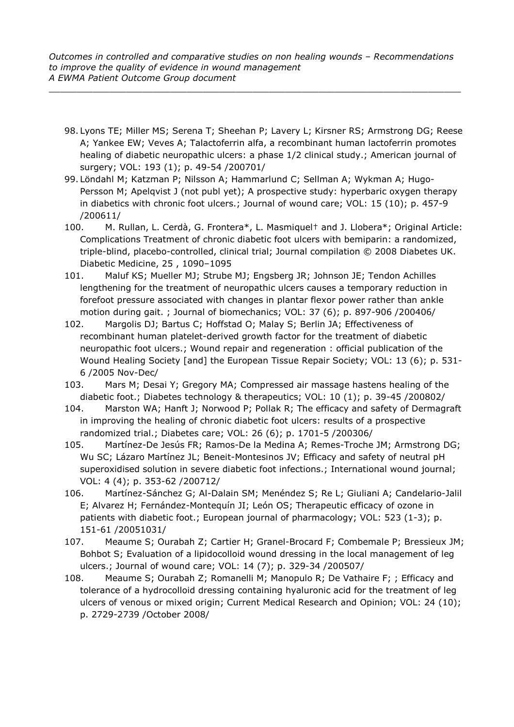- 98. Lyons TE; Miller MS; Serena T; Sheehan P; Lavery L; Kirsner RS; Armstrong DG; Reese A; Yankee EW; Veves A; Talactoferrin alfa, a recombinant human lactoferrin promotes healing of diabetic neuropathic ulcers: a phase 1/2 clinical study.; American journal of surgery; VOL: 193 (1); p. 49-54 /200701/
- 99. Löndahl M; Katzman P; Nilsson A; Hammarlund C; Sellman A; Wykman A; Hugo-Persson M; Apelqvist J (not publ yet); A prospective study: hyperbaric oxygen therapy in diabetics with chronic foot ulcers.; Journal of wound care; VOL: 15 (10); p. 457-9 /200611/
- 100. M. Rullan, L. Cerdà, G. Frontera\*, L. Masmiquel† and J. Llobera\*; Original Article: Complications Treatment of chronic diabetic foot ulcers with bemiparin: a randomized, triple-blind, placebo-controlled, clinical trial; Journal compilation © 2008 Diabetes UK. Diabetic Medicine, 25 , 1090–1095
- 101. Maluf KS; Mueller MJ; Strube MJ; Engsberg JR; Johnson JE; Tendon Achilles lengthening for the treatment of neuropathic ulcers causes a temporary reduction in forefoot pressure associated with changes in plantar flexor power rather than ankle motion during gait. ; Journal of biomechanics; VOL: 37 (6); p. 897-906 /200406/
- 102. Margolis DJ; Bartus C; Hoffstad O; Malay S; Berlin JA; Effectiveness of recombinant human platelet-derived growth factor for the treatment of diabetic neuropathic foot ulcers.; Wound repair and regeneration : official publication of the Wound Healing Society [and] the European Tissue Repair Society; VOL: 13 (6); p. 531- 6 /2005 Nov-Dec/
- 103. Mars M; Desai Y; Gregory MA; Compressed air massage hastens healing of the diabetic foot.; Diabetes technology & therapeutics; VOL: 10 (1); p. 39-45 /200802/
- 104. Marston WA; Hanft J; Norwood P; Pollak R; The efficacy and safety of Dermagraft in improving the healing of chronic diabetic foot ulcers: results of a prospective randomized trial.; Diabetes care; VOL: 26 (6); p. 1701-5 /200306/
- 105. Martínez-De Jesús FR; Ramos-De la Medina A; Remes-Troche JM; Armstrong DG; Wu SC; Lázaro Martínez JL; Beneit-Montesinos JV; Efficacy and safety of neutral pH superoxidised solution in severe diabetic foot infections.; International wound journal; VOL: 4 (4); p. 353-62 /200712/
- 106. Martínez-Sánchez G; Al-Dalain SM; Menéndez S; Re L; Giuliani A; Candelario-Jalil E; Alvarez H; Fernández-Montequín JI; León OS; Therapeutic efficacy of ozone in patients with diabetic foot.; European journal of pharmacology; VOL: 523 (1-3); p. 151-61 /20051031/
- 107. Meaume S; Ourabah Z; Cartier H; Granel-Brocard F; Combemale P; Bressieux JM; Bohbot S; Evaluation of a lipidocolloid wound dressing in the local management of leg ulcers.; Journal of wound care; VOL: 14 (7); p. 329-34 /200507/
- 108. Meaume S; Ourabah Z; Romanelli M; Manopulo R; De Vathaire F; ; Efficacy and tolerance of a hydrocolloid dressing containing hyaluronic acid for the treatment of leg ulcers of venous or mixed origin; Current Medical Research and Opinion; VOL: 24 (10); p. 2729-2739 /October 2008/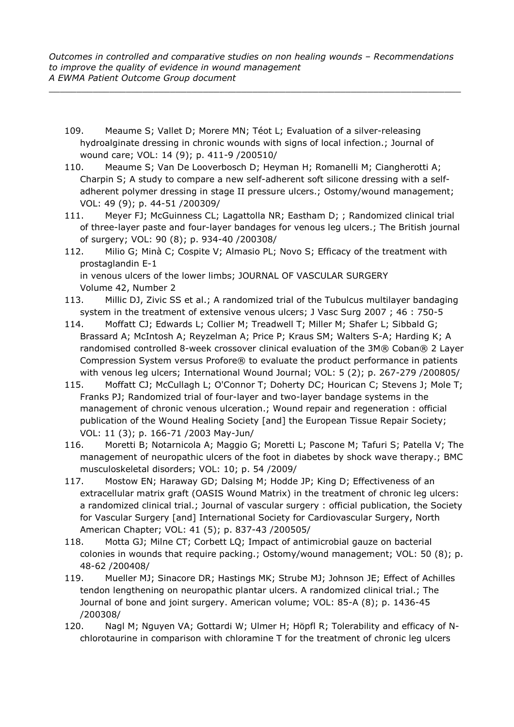- 109. Meaume S; Vallet D; Morere MN; Téot L; Evaluation of a silver-releasing hydroalginate dressing in chronic wounds with signs of local infection.; Journal of wound care; VOL: 14 (9); p. 411-9 /200510/
- 110. Meaume S; Van De Looverbosch D; Heyman H; Romanelli M; Ciangherotti A; Charpin S; A study to compare a new self-adherent soft silicone dressing with a selfadherent polymer dressing in stage II pressure ulcers.; Ostomy/wound management; VOL: 49 (9); p. 44-51 /200309/
- 111. Meyer FJ; McGuinness CL; Lagattolla NR; Eastham D; ; Randomized clinical trial of three-layer paste and four-layer bandages for venous leg ulcers.; The British journal of surgery; VOL: 90 (8); p. 934-40 /200308/
- 112. Milio G; Minà C; Cospite V; Almasio PL; Novo S; Efficacy of the treatment with prostaglandin E-1 in venous ulcers of the lower limbs; JOURNAL OF VASCULAR SURGERY Volume 42, Number 2
- 113. Millic DJ, Zivic SS et al.; A randomized trial of the Tubulcus multilayer bandaging system in the treatment of extensive venous ulcers; J Vasc Surg 2007 ; 46 : 750-5
- 114. Moffatt CJ; Edwards L; Collier M; Treadwell T; Miller M; Shafer L; Sibbald G; Brassard A; McIntosh A; Reyzelman A; Price P; Kraus SM; Walters S-A; Harding K; A randomised controlled 8-week crossover clinical evaluation of the 3M® Coban® 2 Layer Compression System versus Profore® to evaluate the product performance in patients with venous leg ulcers; International Wound Journal; VOL: 5 (2); p. 267-279 /200805/
- 115. Moffatt CJ; McCullagh L; O'Connor T; Doherty DC; Hourican C; Stevens J; Mole T; Franks PJ; Randomized trial of four-layer and two-layer bandage systems in the management of chronic venous ulceration.; Wound repair and regeneration : official publication of the Wound Healing Society [and] the European Tissue Repair Society; VOL: 11 (3); p. 166-71 /2003 May-Jun/
- 116. Moretti B; Notarnicola A; Maggio G; Moretti L; Pascone M; Tafuri S; Patella V; The management of neuropathic ulcers of the foot in diabetes by shock wave therapy.; BMC musculoskeletal disorders; VOL: 10; p. 54 /2009/
- 117. Mostow EN; Haraway GD; Dalsing M; Hodde JP; King D; Effectiveness of an extracellular matrix graft (OASIS Wound Matrix) in the treatment of chronic leg ulcers: a randomized clinical trial.; Journal of vascular surgery : official publication, the Society for Vascular Surgery [and] International Society for Cardiovascular Surgery, North American Chapter; VOL: 41 (5); p. 837-43 /200505/
- 118. Motta GJ; Milne CT; Corbett LQ; Impact of antimicrobial gauze on bacterial colonies in wounds that require packing.; Ostomy/wound management; VOL: 50 (8); p. 48-62 /200408/
- 119. Mueller MJ; Sinacore DR; Hastings MK; Strube MJ; Johnson JE; Effect of Achilles tendon lengthening on neuropathic plantar ulcers. A randomized clinical trial.; The Journal of bone and joint surgery. American volume; VOL: 85-A (8); p. 1436-45 /200308/
- 120. Nagl M; Nguyen VA; Gottardi W; Ulmer H; Höpfl R; Tolerability and efficacy of Nchlorotaurine in comparison with chloramine T for the treatment of chronic leg ulcers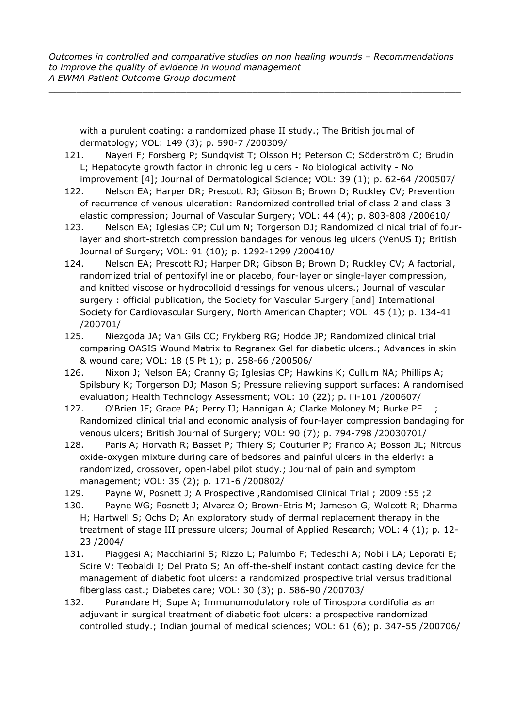with a purulent coating: a randomized phase II study.; The British journal of dermatology; VOL: 149 (3); p. 590-7 /200309/

- 121. Nayeri F; Forsberg P; Sundqvist T; Olsson H; Peterson C; Söderström C; Brudin L; Hepatocyte growth factor in chronic leg ulcers - No biological activity - No improvement [4]; Journal of Dermatological Science; VOL: 39 (1); p. 62-64 /200507/
- 122. Nelson EA; Harper DR; Prescott RJ; Gibson B; Brown D; Ruckley CV; Prevention of recurrence of venous ulceration: Randomized controlled trial of class 2 and class 3 elastic compression; Journal of Vascular Surgery; VOL: 44 (4); p. 803-808 /200610/
- 123. Nelson EA; Iglesias CP; Cullum N; Torgerson DJ; Randomized clinical trial of fourlayer and short-stretch compression bandages for venous leg ulcers (VenUS I); British Journal of Surgery; VOL: 91 (10); p. 1292-1299 /200410/
- 124. Nelson EA; Prescott RJ; Harper DR; Gibson B; Brown D; Ruckley CV; A factorial, randomized trial of pentoxifylline or placebo, four-layer or single-layer compression, and knitted viscose or hydrocolloid dressings for venous ulcers.; Journal of vascular surgery : official publication, the Society for Vascular Surgery [and] International Society for Cardiovascular Surgery, North American Chapter; VOL: 45 (1); p. 134-41 /200701/
- 125. Niezgoda JA; Van Gils CC; Frykberg RG; Hodde JP; Randomized clinical trial comparing OASIS Wound Matrix to Regranex Gel for diabetic ulcers.; Advances in skin & wound care; VOL: 18 (5 Pt 1); p. 258-66 /200506/
- 126. Nixon J; Nelson EA; Cranny G; Iglesias CP; Hawkins K; Cullum NA; Phillips A; Spilsbury K; Torgerson DJ; Mason S; Pressure relieving support surfaces: A randomised evaluation; Health Technology Assessment; VOL: 10 (22); p. iii-101 /200607/
- 127. O'Brien JF; Grace PA; Perry IJ; Hannigan A; Clarke Moloney M; Burke PE ; Randomized clinical trial and economic analysis of four-layer compression bandaging for venous ulcers; British Journal of Surgery; VOL: 90 (7); p. 794-798 /20030701/
- 128. Paris A; Horvath R; Basset P; Thiery S; Couturier P; Franco A; Bosson JL; Nitrous oxide-oxygen mixture during care of bedsores and painful ulcers in the elderly: a randomized, crossover, open-label pilot study.; Journal of pain and symptom management; VOL: 35 (2); p. 171-6 /200802/
- 129. Payne W, Posnett J; A Prospective ,Randomised Clinical Trial ; 2009 :55 ;2
- 130. Payne WG; Posnett J; Alvarez O; Brown-Etris M; Jameson G; Wolcott R; Dharma H; Hartwell S; Ochs D; An exploratory study of dermal replacement therapy in the treatment of stage III pressure ulcers; Journal of Applied Research; VOL: 4 (1); p. 12- 23 /2004/
- 131. Piaggesi A; Macchiarini S; Rizzo L; Palumbo F; Tedeschi A; Nobili LA; Leporati E; Scire V; Teobaldi I; Del Prato S; An off-the-shelf instant contact casting device for the management of diabetic foot ulcers: a randomized prospective trial versus traditional fiberglass cast.; Diabetes care; VOL: 30 (3); p. 586-90 /200703/
- 132. Purandare H; Supe A; Immunomodulatory role of Tinospora cordifolia as an adjuvant in surgical treatment of diabetic foot ulcers: a prospective randomized controlled study.; Indian journal of medical sciences; VOL: 61 (6); p. 347-55 /200706/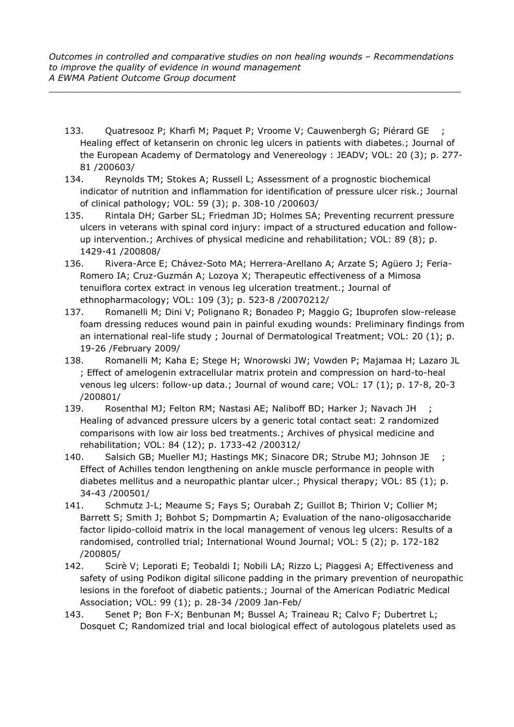- 133. Quatresooz P; Kharfi M; Paquet P; Vroome V; Cauwenbergh G; Piérard GE ; Healing effect of ketanserin on chronic leg ulcers in patients with diabetes.; Journal of the European Academy of Dermatology and Venereology : JEADV; VOL: 20 (3); p. 277- 81 /200603/
- 134. Reynolds TM; Stokes A; Russell L; Assessment of a prognostic biochemical indicator of nutrition and inflammation for identification of pressure ulcer risk.; Journal of clinical pathology; VOL: 59 (3); p. 308-10 /200603/
- 135. Rintala DH; Garber SL; Friedman JD; Holmes SA; Preventing recurrent pressure ulcers in veterans with spinal cord injury: impact of a structured education and followup intervention.; Archives of physical medicine and rehabilitation; VOL: 89 (8); p. 1429-41 /200808/
- 136. Rivera-Arce E; Chávez-Soto MA; Herrera-Arellano A; Arzate S; Agüero J; Feria-Romero IA; Cruz-Guzmán A; Lozoya X; Therapeutic effectiveness of a Mimosa tenuiflora cortex extract in venous leg ulceration treatment.; Journal of ethnopharmacology; VOL: 109 (3); p. 523-8 /20070212/
- 137. Romanelli M; Dini V; Polignano R; Bonadeo P; Maggio G; Ibuprofen slow-release foam dressing reduces wound pain in painful exuding wounds: Preliminary findings from an international real-life study ; Journal of Dermatological Treatment; VOL: 20 (1); p. 19-26 /February 2009/
- 138. Romanelli M; Kaha E; Stege H; Wnorowski JW; Vowden P; Majamaa H; Lazaro JL ; Effect of amelogenin extracellular matrix protein and compression on hard-to-heal venous leg ulcers: follow-up data.; Journal of wound care; VOL: 17 (1); p. 17-8, 20-3 /200801/
- 139. Rosenthal MJ; Felton RM; Nastasi AE; Naliboff BD; Harker J; Navach JH ; Healing of advanced pressure ulcers by a generic total contact seat: 2 randomized comparisons with low air loss bed treatments.; Archives of physical medicine and rehabilitation; VOL: 84 (12); p. 1733-42 /200312/
- 140. Salsich GB; Mueller MJ; Hastings MK; Sinacore DR; Strube MJ; Johnson JE ; Effect of Achilles tendon lengthening on ankle muscle performance in people with diabetes mellitus and a neuropathic plantar ulcer.; Physical therapy; VOL: 85 (1); p. 34-43 /200501/
- 141. Schmutz J-L; Meaume S; Fays S; Ourabah Z; Guillot B; Thirion V; Collier M; Barrett S; Smith J; Bohbot S; Dompmartin A; Evaluation of the nano-oligosaccharide factor lipido-colloid matrix in the local management of venous leg ulcers: Results of a randomised, controlled trial; International Wound Journal; VOL: 5 (2); p. 172-182 /200805/
- 142. Scirè V; Leporati E; Teobaldi I; Nobili LA; Rizzo L; Piaggesi A; Effectiveness and safety of using Podikon digital silicone padding in the primary prevention of neuropathic lesions in the forefoot of diabetic patients.; Journal of the American Podiatric Medical Association; VOL: 99 (1); p. 28-34 /2009 Jan-Feb/
- 143. Senet P; Bon F-X; Benbunan M; Bussel A; Traineau R; Calvo F; Dubertret L; Dosquet C; Randomized trial and local biological effect of autologous platelets used as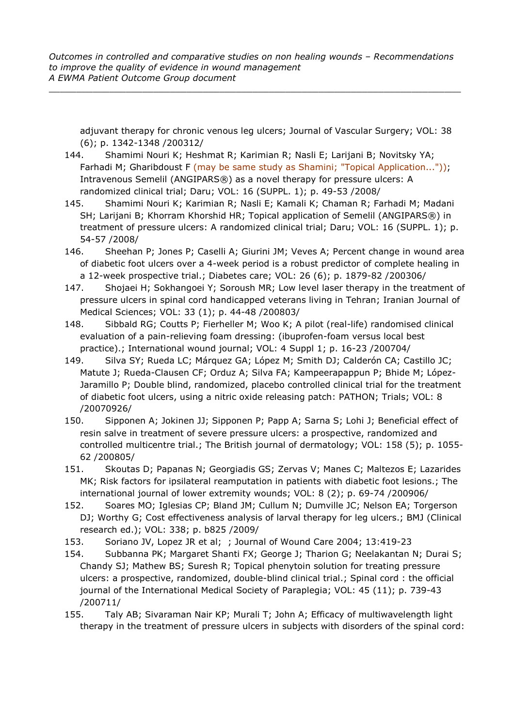adjuvant therapy for chronic venous leg ulcers; Journal of Vascular Surgery; VOL: 38 (6); p. 1342-1348 /200312/

- 144. Shamimi Nouri K; Heshmat R; Karimian R; Nasli E; Larijani B; Novitsky YA; Farhadi M; Gharibdoust F (may be same study as Shamini; "Topical Application...")); Intravenous Semelil (ANGIPARS®) as a novel therapy for pressure ulcers: A randomized clinical trial; Daru; VOL: 16 (SUPPL. 1); p. 49-53 /2008/
- 145. Shamimi Nouri K; Karimian R; Nasli E; Kamali K; Chaman R; Farhadi M; Madani SH; Larijani B; Khorram Khorshid HR; Topical application of Semelil (ANGIPARS®) in treatment of pressure ulcers: A randomized clinical trial; Daru; VOL: 16 (SUPPL. 1); p. 54-57 /2008/
- 146. Sheehan P; Jones P; Caselli A; Giurini JM; Veves A; Percent change in wound area of diabetic foot ulcers over a 4-week period is a robust predictor of complete healing in a 12-week prospective trial.; Diabetes care; VOL: 26 (6); p. 1879-82 /200306/
- 147. Shojaei H; Sokhangoei Y; Soroush MR; Low level laser therapy in the treatment of pressure ulcers in spinal cord handicapped veterans living in Tehran; Iranian Journal of Medical Sciences; VOL: 33 (1); p. 44-48 /200803/
- 148. Sibbald RG; Coutts P; Fierheller M; Woo K; A pilot (real-life) randomised clinical evaluation of a pain-relieving foam dressing: (ibuprofen-foam versus local best practice).; International wound journal; VOL: 4 Suppl 1; p. 16-23 /200704/
- 149. Silva SY; Rueda LC; Márquez GA; López M; Smith DJ; Calderón CA; Castillo JC; Matute J; Rueda-Clausen CF; Orduz A; Silva FA; Kampeerapappun P; Bhide M; López-Jaramillo P; Double blind, randomized, placebo controlled clinical trial for the treatment of diabetic foot ulcers, using a nitric oxide releasing patch: PATHON; Trials; VOL: 8 /20070926/
- 150. Sipponen A; Jokinen JJ; Sipponen P; Papp A; Sarna S; Lohi J; Beneficial effect of resin salve in treatment of severe pressure ulcers: a prospective, randomized and controlled multicentre trial.; The British journal of dermatology; VOL: 158 (5); p. 1055- 62 /200805/
- 151. Skoutas D; Papanas N; Georgiadis GS; Zervas V; Manes C; Maltezos E; Lazarides MK; Risk factors for ipsilateral reamputation in patients with diabetic foot lesions.; The international journal of lower extremity wounds; VOL: 8 (2); p. 69-74 /200906/
- 152. Soares MO; Iglesias CP; Bland JM; Cullum N; Dumville JC; Nelson EA; Torgerson DJ; Worthy G; Cost effectiveness analysis of larval therapy for leg ulcers.; BMJ (Clinical research ed.); VOL: 338; p. b825 /2009/
- 153. Soriano JV, Lopez JR et al; ; Journal of Wound Care 2004; 13:419-23
- 154. Subbanna PK; Margaret Shanti FX; George J; Tharion G; Neelakantan N; Durai S; Chandy SJ; Mathew BS; Suresh R; Topical phenytoin solution for treating pressure ulcers: a prospective, randomized, double-blind clinical trial.; Spinal cord : the official journal of the International Medical Society of Paraplegia; VOL: 45 (11); p. 739-43 /200711/
- 155. Taly AB; Sivaraman Nair KP; Murali T; John A; Efficacy of multiwavelength light therapy in the treatment of pressure ulcers in subjects with disorders of the spinal cord: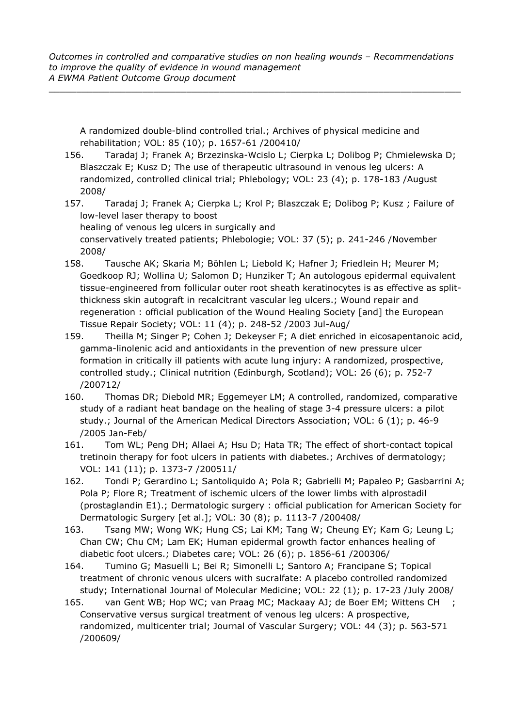A randomized double-blind controlled trial.; Archives of physical medicine and rehabilitation; VOL: 85 (10); p. 1657-61 /200410/

- 156. Taradaj J; Franek A; Brzezinska-Wcislo L; Cierpka L; Dolibog P; Chmielewska D; Blaszczak E; Kusz D; The use of therapeutic ultrasound in venous leg ulcers: A randomized, controlled clinical trial; Phlebology; VOL: 23 (4); p. 178-183 /August 2008/
- 157. Taradaj J; Franek A; Cierpka L; Krol P; Blaszczak E; Dolibog P; Kusz ; Failure of low-level laser therapy to boost healing of venous leg ulcers in surgically and conservatively treated patients; Phlebologie; VOL: 37 (5); p. 241-246 /November 2008/
- 158. Tausche AK; Skaria M; Böhlen L; Liebold K; Hafner J; Friedlein H; Meurer M; Goedkoop RJ; Wollina U; Salomon D; Hunziker T; An autologous epidermal equivalent tissue-engineered from follicular outer root sheath keratinocytes is as effective as splitthickness skin autograft in recalcitrant vascular leg ulcers.; Wound repair and regeneration : official publication of the Wound Healing Society [and] the European Tissue Repair Society; VOL: 11 (4); p. 248-52 /2003 Jul-Aug/
- 159. Theilla M; Singer P; Cohen J; Dekeyser F; A diet enriched in eicosapentanoic acid, gamma-linolenic acid and antioxidants in the prevention of new pressure ulcer formation in critically ill patients with acute lung injury: A randomized, prospective, controlled study.; Clinical nutrition (Edinburgh, Scotland); VOL: 26 (6); p. 752-7 /200712/
- 160. Thomas DR; Diebold MR; Eggemeyer LM; A controlled, randomized, comparative study of a radiant heat bandage on the healing of stage 3-4 pressure ulcers: a pilot study.; Journal of the American Medical Directors Association; VOL: 6 (1); p. 46-9 /2005 Jan-Feb/
- 161. Tom WL; Peng DH; Allaei A; Hsu D; Hata TR; The effect of short-contact topical tretinoin therapy for foot ulcers in patients with diabetes.; Archives of dermatology; VOL: 141 (11); p. 1373-7 /200511/
- 162. Tondi P; Gerardino L; Santoliquido A; Pola R; Gabrielli M; Papaleo P; Gasbarrini A; Pola P; Flore R; Treatment of ischemic ulcers of the lower limbs with alprostadil (prostaglandin E1).; Dermatologic surgery : official publication for American Society for Dermatologic Surgery [et al.]; VOL: 30 (8); p. 1113-7 /200408/
- 163. Tsang MW; Wong WK; Hung CS; Lai KM; Tang W; Cheung EY; Kam G; Leung L; Chan CW; Chu CM; Lam EK; Human epidermal growth factor enhances healing of diabetic foot ulcers.; Diabetes care; VOL: 26 (6); p. 1856-61 /200306/
- 164. Tumino G; Masuelli L; Bei R; Simonelli L; Santoro A; Francipane S; Topical treatment of chronic venous ulcers with sucralfate: A placebo controlled randomized study; International Journal of Molecular Medicine; VOL: 22 (1); p. 17-23 /July 2008/
- 165. van Gent WB; Hop WC; van Praag MC; Mackaay AJ; de Boer EM; Wittens CH ; Conservative versus surgical treatment of venous leg ulcers: A prospective, randomized, multicenter trial; Journal of Vascular Surgery; VOL: 44 (3); p. 563-571 /200609/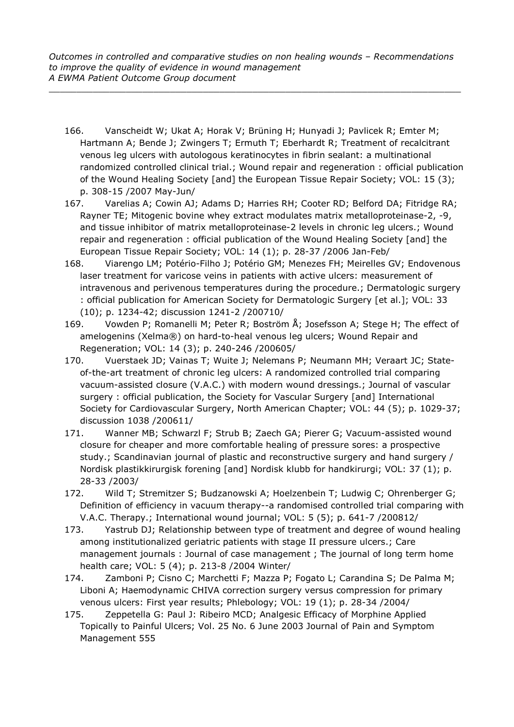- 166. Vanscheidt W; Ukat A; Horak V; Brüning H; Hunyadi J; Pavlicek R; Emter M; Hartmann A; Bende J; Zwingers T; Ermuth T; Eberhardt R; Treatment of recalcitrant venous leg ulcers with autologous keratinocytes in fibrin sealant: a multinational randomized controlled clinical trial.; Wound repair and regeneration : official publication of the Wound Healing Society [and] the European Tissue Repair Society; VOL: 15 (3); p. 308-15 /2007 May-Jun/
- 167. Varelias A; Cowin AJ; Adams D; Harries RH; Cooter RD; Belford DA; Fitridge RA; Rayner TE; Mitogenic bovine whey extract modulates matrix metalloproteinase-2, -9, and tissue inhibitor of matrix metalloproteinase-2 levels in chronic leg ulcers.; Wound repair and regeneration : official publication of the Wound Healing Society [and] the European Tissue Repair Society; VOL: 14 (1); p. 28-37 /2006 Jan-Feb/
- 168. Viarengo LM; Potério-Filho J; Potério GM; Menezes FH; Meirelles GV; Endovenous laser treatment for varicose veins in patients with active ulcers: measurement of intravenous and perivenous temperatures during the procedure.; Dermatologic surgery : official publication for American Society for Dermatologic Surgery [et al.]; VOL: 33 (10); p. 1234-42; discussion 1241-2 /200710/
- 169. Vowden P; Romanelli M; Peter R; Boström Å; Josefsson A; Stege H; The effect of amelogenins (Xelma®) on hard-to-heal venous leg ulcers; Wound Repair and Regeneration; VOL: 14 (3); p. 240-246 /200605/
- 170. Vuerstaek JD; Vainas T; Wuite J; Nelemans P; Neumann MH; Veraart JC; Stateof-the-art treatment of chronic leg ulcers: A randomized controlled trial comparing vacuum-assisted closure (V.A.C.) with modern wound dressings.; Journal of vascular surgery : official publication, the Society for Vascular Surgery [and] International Society for Cardiovascular Surgery, North American Chapter; VOL: 44 (5); p. 1029-37; discussion 1038 /200611/
- 171. Wanner MB; Schwarzl F; Strub B; Zaech GA; Pierer G; Vacuum-assisted wound closure for cheaper and more comfortable healing of pressure sores: a prospective study.; Scandinavian journal of plastic and reconstructive surgery and hand surgery / Nordisk plastikkirurgisk forening [and] Nordisk klubb for handkirurgi; VOL: 37 (1); p. 28-33 /2003/
- 172. Wild T; Stremitzer S; Budzanowski A; Hoelzenbein T; Ludwig C; Ohrenberger G; Definition of efficiency in vacuum therapy--a randomised controlled trial comparing with V.A.C. Therapy.; International wound journal; VOL: 5 (5); p. 641-7 /200812/
- 173. Yastrub DJ; Relationship between type of treatment and degree of wound healing among institutionalized geriatric patients with stage II pressure ulcers.; Care management journals : Journal of case management ; The journal of long term home health care; VOL: 5 (4); p. 213-8 /2004 Winter/
- 174. Zamboni P; Cisno C; Marchetti F; Mazza P; Fogato L; Carandina S; De Palma M; Liboni A; Haemodynamic CHIVA correction surgery versus compression for primary venous ulcers: First year results; Phlebology; VOL: 19 (1); p. 28-34 /2004/
- 175. Zeppetella G: Paul J: Ribeiro MCD; Analgesic Efficacy of Morphine Applied Topically to Painful Ulcers; Vol. 25 No. 6 June 2003 Journal of Pain and Symptom Management 555